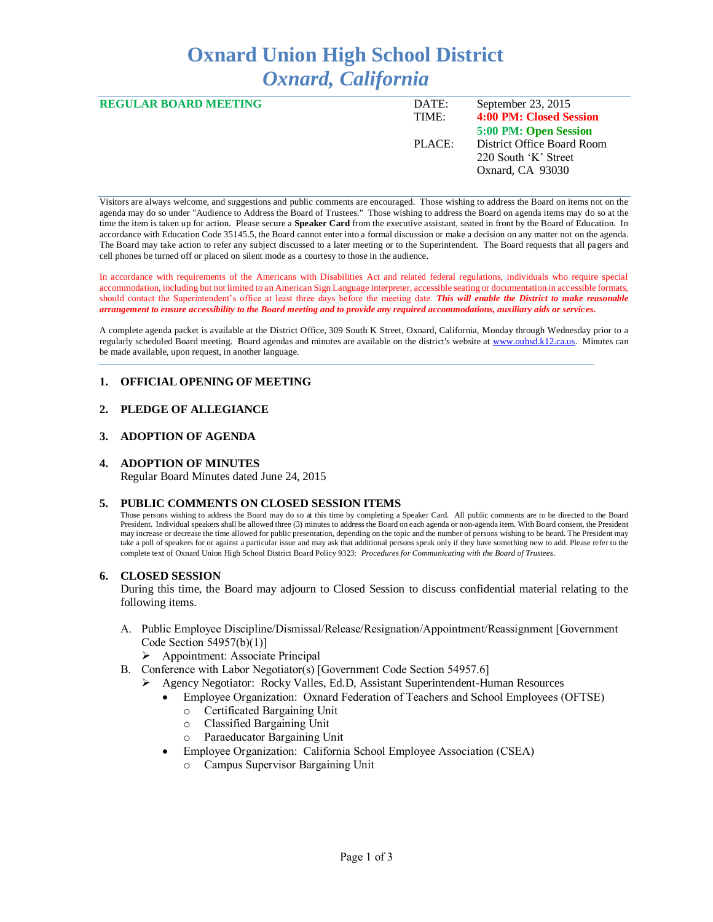# **Oxnard Union High School District** *Oxnard, California*

| <b>REGULAR BOARD MEETING</b> | DATE:  | September 23, 2015         |
|------------------------------|--------|----------------------------|
|                              | TIME:  | 4:00 PM: Closed Session    |
|                              |        | 5:00 PM: Open Session      |
|                              | PLACE: | District Office Board Room |
|                              |        | 220 South 'K' Street       |
|                              |        | Oxnard, CA 93030           |
|                              |        |                            |

Visitors are always welcome, and suggestions and public comments are encouraged. Those wishing to address the Board on items not on the agenda may do so under "Audience to Address the Board of Trustees." Those wishing to address the Board on agenda items may do so at the time the item is taken up for action. Please secure a **Speaker Card** from the executive assistant, seated in front by the Board of Education. In accordance with Education Code 35145.5, the Board cannot enter into a formal discussion or make a decision on any matter not on the agenda. The Board may take action to refer any subject discussed to a later meeting or to the Superintendent. The Board requests that all pagers and cell phones be turned off or placed on silent mode as a courtesy to those in the audience.

In accordance with requirements of the Americans with Disabilities Act and related federal regulations, individuals who require special accommodation, including but not limited to an American Sign Language interpreter, accessible seating or documentation in accessible formats, should contact the Superintendent's office at least three days before the meeting date. *This will enable the District to make reasonable arrangement to ensure accessibility to the Board meeting and to provide any required accommodations, auxiliary aids or services.* 

A complete agenda packet is available at the District Office, 309 South K Street, Oxnard, California, Monday through Wednesday prior to a regularly scheduled Board meeting. Board agendas and minutes are available on the district's website at [www.ouhsd.k12.ca.us.](http://www.ouhsd.k12.ca.us/)Minutes can be made available, upon request, in another language.

# **1. OFFICIAL OPENING OF MEETING**

# **2. PLEDGE OF ALLEGIANCE**

# **3. ADOPTION OF AGENDA**

# **4. ADOPTION OF MINUTES**

Regular Board Minutes dated June 24, 2015

#### **5. PUBLIC COMMENTS ON CLOSED SESSION ITEMS**

Those persons wishing to address the Board may do so at this time by completing a Speaker Card. All public comments are to be directed to the Board President. Individual speakers shall be allowed three (3) minutes to address the Board on each agenda or non-agenda item. With Board consent, the President may increase or decrease the time allowed for public presentation, depending on the topic and the number of persons wishing to be heard. The President may take a poll of speakers for or against a particular issue and may ask that additional persons speak only if they have something new to add. Please refer to the complete text of Oxnard Union High School District Board Policy 9323: *Procedures for Communicating with the Board of Trustees*.

# **6. CLOSED SESSION**

During this time, the Board may adjourn to Closed Session to discuss confidential material relating to the following items.

- A. Public Employee Discipline/Dismissal/Release/Resignation/Appointment/Reassignment [Government Code Section 54957(b)(1)]
	- $\triangleright$  Appointment: Associate Principal
- B. Conference with Labor Negotiator(s) [Government Code Section 54957.6]
	- Agency Negotiator: Rocky Valles, Ed.D, Assistant Superintendent-Human Resources
		- Employee Organization: Oxnard Federation of Teachers and School Employees (OFTSE)
			- o Certificated Bargaining Unit
			- o Classified Bargaining Unit
			- o Paraeducator Bargaining Unit
		- Employee Organization: California School Employee Association (CSEA)
			- Campus Supervisor Bargaining Unit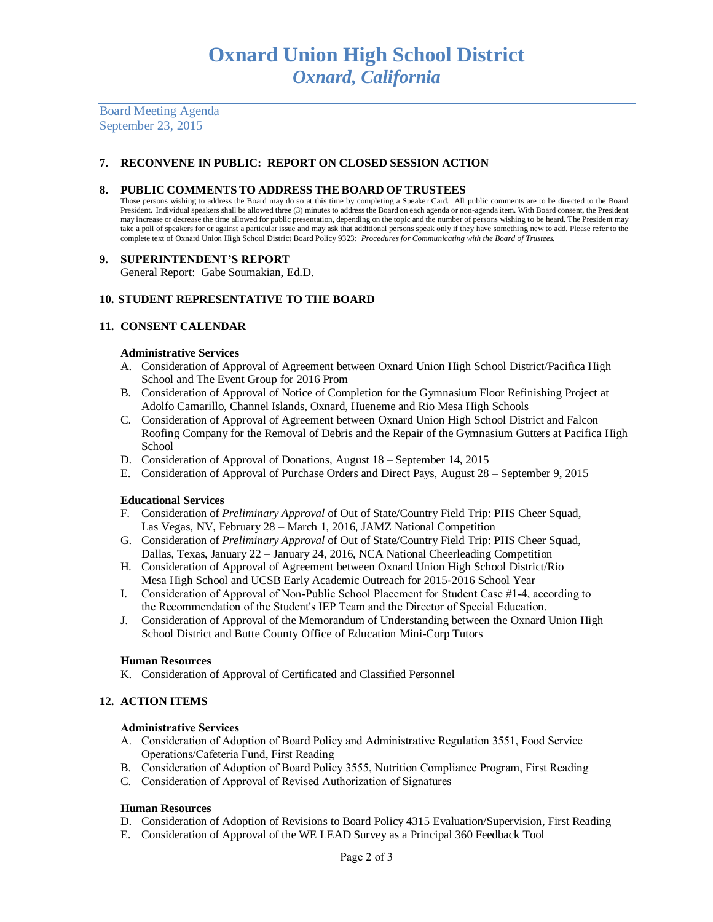Board Meeting Agenda September 23, 2015

# **7. RECONVENE IN PUBLIC: REPORT ON CLOSED SESSION ACTION**

#### **8. PUBLIC COMMENTS TO ADDRESS THE BOARD OF TRUSTEES**

Those persons wishing to address the Board may do so at this time by completing a Speaker Card. All public comments are to be directed to the Board President. Individual speakers shall be allowed three (3) minutes to address the Board on each agenda or non-agenda item. With Board consent, the President may increase or decrease the time allowed for public presentation, depending on the topic and the number of persons wishing to be heard. The President may take a poll of speakers for or against a particular issue and may ask that additional persons speak only if they have something new to add. Please refer to the complete text of Oxnard Union High School District Board Policy 9323: *Procedures for Communicating with the Board of Trustees.*

#### **9. SUPERINTENDENT'S REPORT**

General Report: Gabe Soumakian, Ed.D.

# **10. STUDENT REPRESENTATIVE TO THE BOARD**

# **11. CONSENT CALENDAR**

#### **Administrative Services**

- A. Consideration of Approval of Agreement between Oxnard Union High School District/Pacifica High School and The Event Group for 2016 Prom
- B. Consideration of Approval of Notice of Completion for the Gymnasium Floor Refinishing Project at Adolfo Camarillo, Channel Islands, Oxnard, Hueneme and Rio Mesa High Schools
- C. Consideration of Approval of Agreement between Oxnard Union High School District and Falcon Roofing Company for the Removal of Debris and the Repair of the Gymnasium Gutters at Pacifica High School
- D. Consideration of Approval of Donations, August 18 September 14, 2015
- E. Consideration of Approval of Purchase Orders and Direct Pays, August 28 September 9, 2015

# **Educational Services**

- F. Consideration of *Preliminary Approval* of Out of State/Country Field Trip: PHS Cheer Squad, Las Vegas, NV, February 28 – March 1, 2016, JAMZ National Competition
- G. Consideration of *Preliminary Approval* of Out of State/Country Field Trip: PHS Cheer Squad, Dallas, Texas, January 22 – January 24, 2016, NCA National Cheerleading Competition
- H. Consideration of Approval of Agreement between Oxnard Union High School District/Rio Mesa High School and UCSB Early Academic Outreach for 2015-2016 School Year
- I. Consideration of Approval of Non-Public School Placement for Student Case #1-4, according to the Recommendation of the Student's IEP Team and the Director of Special Education.
- J. Consideration of Approval of the Memorandum of Understanding between the Oxnard Union High School District and Butte County Office of Education Mini-Corp Tutors

# **Human Resources**

K. Consideration of Approval of Certificated and Classified Personnel

# **12. ACTION ITEMS**

#### **Administrative Services**

- A. Consideration of Adoption of Board Policy and Administrative Regulation 3551, Food Service Operations/Cafeteria Fund, First Reading
- Consideration of Adoption of Board Policy 3555, Nutrition Compliance Program, First Reading
- C. Consideration of Approval of Revised Authorization of Signatures

# **Human Resources**

- D. Consideration of Adoption of Revisions to Board Policy 4315 Evaluation/Supervision, First Reading
- E. Consideration of Approval of the WE LEAD Survey as a Principal 360 Feedback Tool